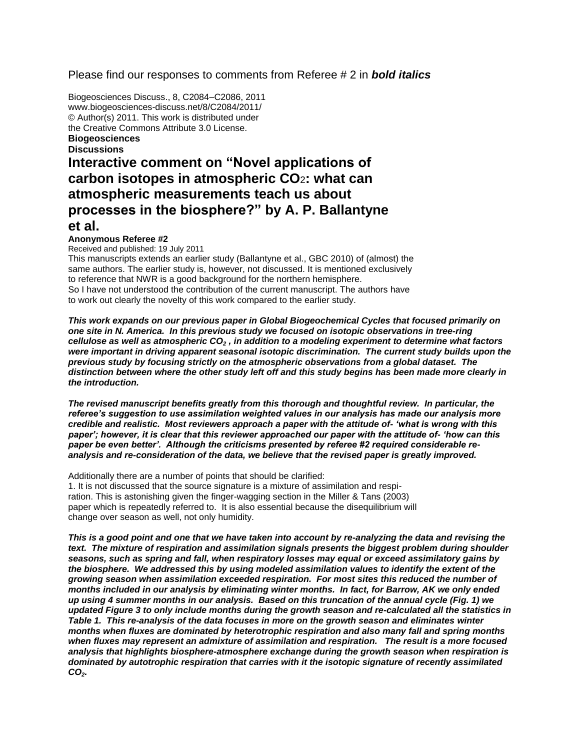# Please find our responses to comments from Referee # 2 in *bold italics*

Biogeosciences Discuss., 8, C2084–C2086, 2011 www.biogeosciences-discuss.net/8/C2084/2011/ © Author(s) 2011. This work is distributed under the Creative Commons Attribute 3.0 License. **Biogeosciences**

#### **Discussions**

# **Interactive comment on "Novel applications of carbon isotopes in atmospheric CO**2**: what can atmospheric measurements teach us about processes in the biosphere?" by A. P. Ballantyne et al.**

# **Anonymous Referee #2**

Received and published: 19 July 2011

This manuscripts extends an earlier study (Ballantyne et al., GBC 2010) of (almost) the same authors. The earlier study is, however, not discussed. It is mentioned exclusively to reference that NWR is a good background for the northern hemisphere. So I have not understood the contribution of the current manuscript. The authors have to work out clearly the novelty of this work compared to the earlier study.

*This work expands on our previous paper in Global Biogeochemical Cycles that focused primarily on one site in N. America. In this previous study we focused on isotopic observations in tree-ring cellulose as well as atmospheric CO<sup>2</sup> , in addition to a modeling experiment to determine what factors were important in driving apparent seasonal isotopic discrimination. The current study builds upon the previous study by focusing strictly on the atmospheric observations from a global dataset. The distinction between where the other study left off and this study begins has been made more clearly in the introduction.*

*The revised manuscript benefits greatly from this thorough and thoughtful review. In particular, the referee's suggestion to use assimilation weighted values in our analysis has made our analysis more credible and realistic. Most reviewers approach a paper with the attitude of- 'what is wrong with this paper'; however, it is clear that this reviewer approached our paper with the attitude of- 'how can this paper be even better'. Although the criticisms presented by referee #2 required considerable reanalysis and re-consideration of the data, we believe that the revised paper is greatly improved.*

Additionally there are a number of points that should be clarified:

1. It is not discussed that the source signature is a mixture of assimilation and respiration. This is astonishing given the finger-wagging section in the Miller & Tans (2003) paper which is repeatedly referred to. It is also essential because the disequilibrium will change over season as well, not only humidity.

*This is a good point and one that we have taken into account by re-analyzing the data and revising the text. The mixture of respiration and assimilation signals presents the biggest problem during shoulder seasons, such as spring and fall, when respiratory losses may equal or exceed assimilatory gains by the biosphere. We addressed this by using modeled assimilation values to identify the extent of the growing season when assimilation exceeded respiration. For most sites this reduced the number of months included in our analysis by eliminating winter months. In fact, for Barrow, AK we only ended up using 4 summer months in our analysis. Based on this truncation of the annual cycle (Fig. 1) we updated Figure 3 to only include months during the growth season and re-calculated all the statistics in Table 1. This re-analysis of the data focuses in more on the growth season and eliminates winter months when fluxes are dominated by heterotrophic respiration and also many fall and spring months when fluxes may represent an admixture of assimilation and respiration. The result is a more focused analysis that highlights biosphere-atmosphere exchange during the growth season when respiration is dominated by autotrophic respiration that carries with it the isotopic signature of recently assimilated CO2.*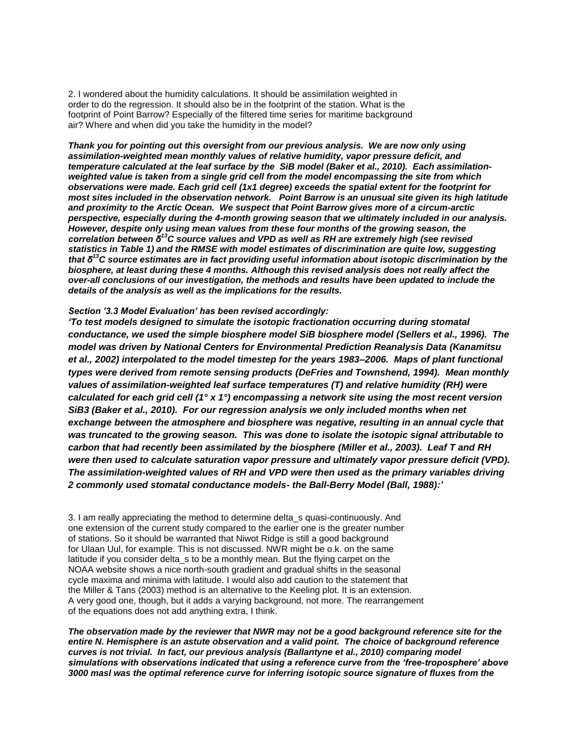2. I wondered about the humidity calculations. It should be assimilation weighted in order to do the regression. It should also be in the footprint of the station. What is the footprint of Point Barrow? Especially of the filtered time series for maritime background air? Where and when did you take the humidity in the model?

*Thank you for pointing out this oversight from our previous analysis. We are now only using assimilation-weighted mean monthly values of relative humidity, vapor pressure deficit, and temperature calculated at the leaf surface by the SiB model (Baker et al., 2010). Each assimilationweighted value is taken from a single grid cell from the model encompassing the site from which observations were made. Each grid cell (1x1 degree) exceeds the spatial extent for the footprint for most sites included in the observation network. Point Barrow is an unusual site given its high latitude and proximity to the Arctic Ocean. We suspect that Point Barrow gives more of a circum-arctic perspective, especially during the 4-month growing season that we ultimately included in our analysis. However, despite only using mean values from these four months of the growing season, the correlation between δ<sup>13</sup>C source values and VPD as well as RH are extremely high (see revised statistics in Table 1) and the RMSE with model estimates of discrimination are quite low, suggesting that δ<sup>13</sup>C source estimates are in fact providing useful information about isotopic discrimination by the biosphere, at least during these 4 months. Although this revised analysis does not really affect the over-all conclusions of our investigation, the methods and results have been updated to include the details of the analysis as well as the implications for the results.* 

#### *Section '3.3 Model Evaluation' has been revised accordingly:*

*'To test models designed to simulate the isotopic fractionation occurring during stomatal conductance, we used the simple biosphere model SiB biosphere model (Sellers et al., 1996). The model was driven by National Centers for Environmental Prediction Reanalysis Data (Kanamitsu et al., 2002) interpolated to the model timestep for the years 1983–2006. Maps of plant functional types were derived from remote sensing products (DeFries and Townshend, 1994). Mean monthly values of assimilation-weighted leaf surface temperatures (T) and relative humidity (RH) were calculated for each grid cell (1° x 1°) encompassing a network site using the most recent version SiB3 (Baker et al., 2010). For our regression analysis we only included months when net exchange between the atmosphere and biosphere was negative, resulting in an annual cycle that was truncated to the growing season. This was done to isolate the isotopic signal attributable to carbon that had recently been assimilated by the biosphere (Miller et al., 2003). Leaf T and RH were then used to calculate saturation vapor pressure and ultimately vapor pressure deficit (VPD). The assimilation-weighted values of RH and VPD were then used as the primary variables driving 2 commonly used stomatal conductance models- the Ball-Berry Model (Ball, 1988):'*

3. I am really appreciating the method to determine delta\_s quasi-continuously. And one extension of the current study compared to the earlier one is the greater number of stations. So it should be warranted that Niwot Ridge is still a good background for Ulaan Uul, for example. This is not discussed. NWR might be o.k. on the same latitude if you consider delta s to be a monthly mean. But the flying carpet on the NOAA website shows a nice north-south gradient and gradual shifts in the seasonal cycle maxima and minima with latitude. I would also add caution to the statement that the Miller & Tans (2003) method is an alternative to the Keeling plot. It is an extension. A very good one, though, but it adds a varying background, not more. The rearrangement of the equations does not add anything extra, I think.

*The observation made by the reviewer that NWR may not be a good background reference site for the entire N. Hemisphere is an astute observation and a valid point. The choice of background reference curves is not trivial. In fact, our previous analysis (Ballantyne et al., 2010) comparing model simulations with observations indicated that using a reference curve from the 'free-troposphere' above 3000 masl was the optimal reference curve for inferring isotopic source signature of fluxes from the*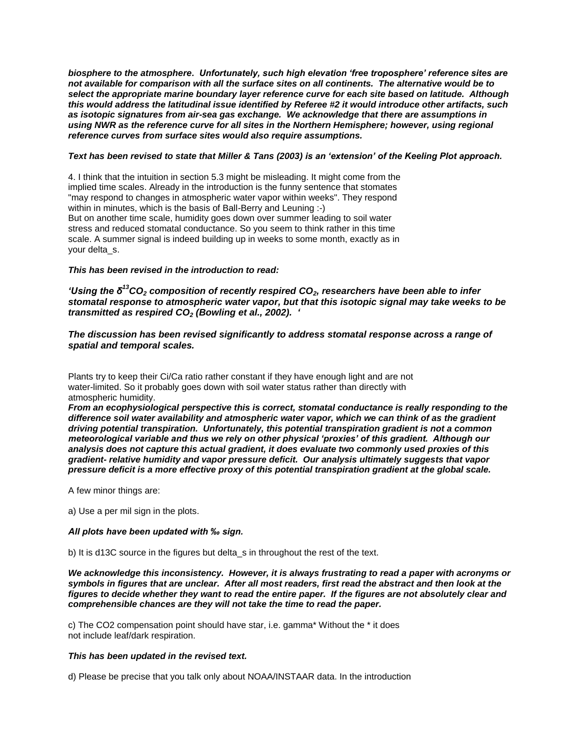*biosphere to the atmosphere. Unfortunately, such high elevation 'free troposphere' reference sites are not available for comparison with all the surface sites on all continents. The alternative would be to select the appropriate marine boundary layer reference curve for each site based on latitude. Although this would address the latitudinal issue identified by Referee #2 it would introduce other artifacts, such as isotopic signatures from air-sea gas exchange. We acknowledge that there are assumptions in using NWR as the reference curve for all sites in the Northern Hemisphere; however, using regional reference curves from surface sites would also require assumptions.*

# *Text has been revised to state that Miller & Tans (2003) is an 'extension' of the Keeling Plot approach.*

4. I think that the intuition in section 5.3 might be misleading. It might come from the implied time scales. Already in the introduction is the funny sentence that stomates "may respond to changes in atmospheric water vapor within weeks". They respond within in minutes, which is the basis of Ball-Berry and Leuning :-) But on another time scale, humidity goes down over summer leading to soil water stress and reduced stomatal conductance. So you seem to think rather in this time scale. A summer signal is indeed building up in weeks to some month, exactly as in your delta\_s.

#### *This has been revised in the introduction to read:*

*'Using the δ<sup>13</sup>CO<sup>2</sup> composition of recently respired CO2, researchers have been able to infer stomatal response to atmospheric water vapor, but that this isotopic signal may take weeks to be transmitted as respired CO<sup>2</sup> (Bowling et al., 2002). '*

### *The discussion has been revised significantly to address stomatal response across a range of spatial and temporal scales.*

Plants try to keep their Ci/Ca ratio rather constant if they have enough light and are not water-limited. So it probably goes down with soil water status rather than directly with atmospheric humidity.

*From an ecophysiological perspective this is correct, stomatal conductance is really responding to the difference soil water availability and atmospheric water vapor, which we can think of as the gradient driving potential transpiration. Unfortunately, this potential transpiration gradient is not a common meteorological variable and thus we rely on other physical 'proxies' of this gradient. Although our analysis does not capture this actual gradient, it does evaluate two commonly used proxies of this gradient- relative humidity and vapor pressure deficit. Our analysis ultimately suggests that vapor pressure deficit is a more effective proxy of this potential transpiration gradient at the global scale.*

A few minor things are:

a) Use a per mil sign in the plots.

# *All plots have been updated with ‰ sign.*

b) It is d13C source in the figures but delta\_s in throughout the rest of the text.

*We acknowledge this inconsistency. However, it is always frustrating to read a paper with acronyms or symbols in figures that are unclear. After all most readers, first read the abstract and then look at the figures to decide whether they want to read the entire paper. If the figures are not absolutely clear and comprehensible chances are they will not take the time to read the paper.*

c) The CO2 compensation point should have star, i.e. gamma\* Without the \* it does not include leaf/dark respiration.

#### *This has been updated in the revised text.*

d) Please be precise that you talk only about NOAA/INSTAAR data. In the introduction